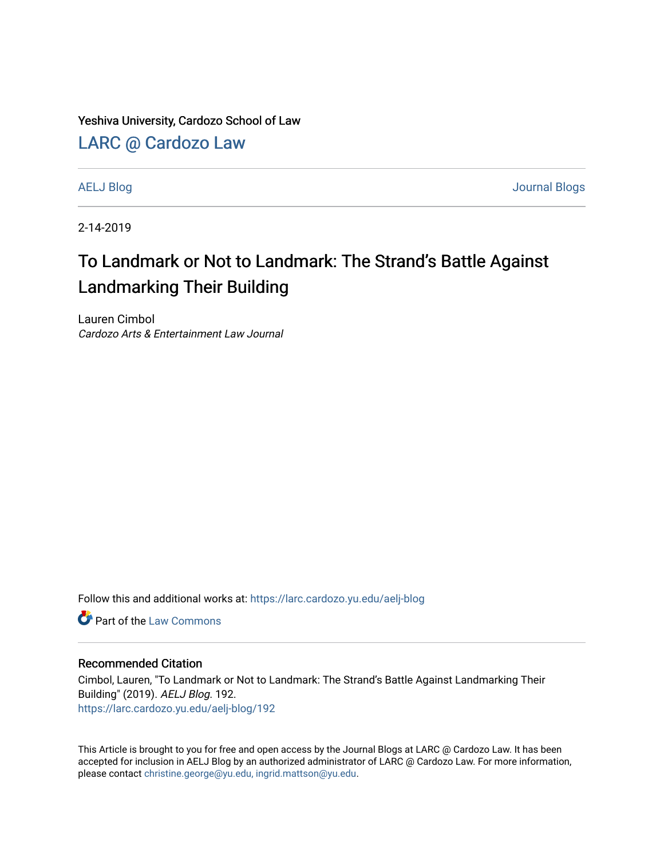Yeshiva University, Cardozo School of Law

[LARC @ Cardozo Law](https://larc.cardozo.yu.edu/)

[AELJ Blog](https://larc.cardozo.yu.edu/aelj-blog) [Journal Blogs](https://larc.cardozo.yu.edu/journal-blogs) 

2-14-2019

## To Landmark or Not to Landmark: The Strand's Battle Against Landmarking Their Building

Lauren Cimbol Cardozo Arts & Entertainment Law Journal

Follow this and additional works at: [https://larc.cardozo.yu.edu/aelj-blog](https://larc.cardozo.yu.edu/aelj-blog?utm_source=larc.cardozo.yu.edu%2Faelj-blog%2F192&utm_medium=PDF&utm_campaign=PDFCoverPages) 

**C** Part of the [Law Commons](http://network.bepress.com/hgg/discipline/578?utm_source=larc.cardozo.yu.edu%2Faelj-blog%2F192&utm_medium=PDF&utm_campaign=PDFCoverPages)

## Recommended Citation

Cimbol, Lauren, "To Landmark or Not to Landmark: The Strand's Battle Against Landmarking Their Building" (2019). AELJ Blog. 192. [https://larc.cardozo.yu.edu/aelj-blog/192](https://larc.cardozo.yu.edu/aelj-blog/192?utm_source=larc.cardozo.yu.edu%2Faelj-blog%2F192&utm_medium=PDF&utm_campaign=PDFCoverPages) 

This Article is brought to you for free and open access by the Journal Blogs at LARC @ Cardozo Law. It has been accepted for inclusion in AELJ Blog by an authorized administrator of LARC @ Cardozo Law. For more information, please contact [christine.george@yu.edu, ingrid.mattson@yu.edu.](mailto:christine.george@yu.edu,%20ingrid.mattson@yu.edu)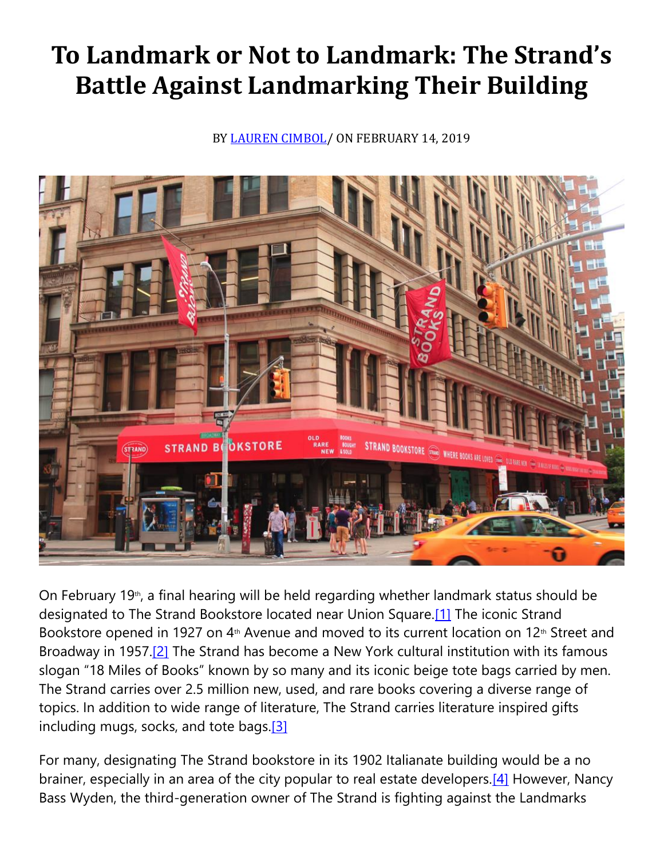## **To Landmark or Not to Landmark: The Strand's Battle Against Landmarking Their Building**

BY [LAUREN CIMBOL/](https://cardozoaelj.com/author/lauren-cimbol/) ON FEBRUARY 14, 2019



On February 19<sup>th</sup>, a final hearing will be held regarding whether landmark status should be designated to The Strand Bookstore located near Union Square[.\[1\]](https://cardozoaelj.com/2019/02/14/landmark-not-landmark-strands-battle-landmarking-building/#_ftn1) The iconic Strand Bookstore opened in 1927 on 4<sup>th</sup> Avenue and moved to its current location on 12<sup>th</sup> Street and Broadway in 1957[.\[2\]](https://cardozoaelj.com/2019/02/14/landmark-not-landmark-strands-battle-landmarking-building/#_ftn2) The Strand has become a New York cultural institution with its famous slogan "18 Miles of Books" known by so many and its iconic beige tote bags carried by men. The Strand carries over 2.5 million new, used, and rare books covering a diverse range of topics. In addition to wide range of literature, The Strand carries literature inspired gifts including mugs, socks, and tote bags. $[3]$ 

For many, designating The Strand bookstore in its 1902 Italianate building would be a no brainer, especially in an area of the city popular to real estate developers.<sup>[4]</sup> However, Nancy Bass Wyden, the third-generation owner of The Strand is fighting against the Landmarks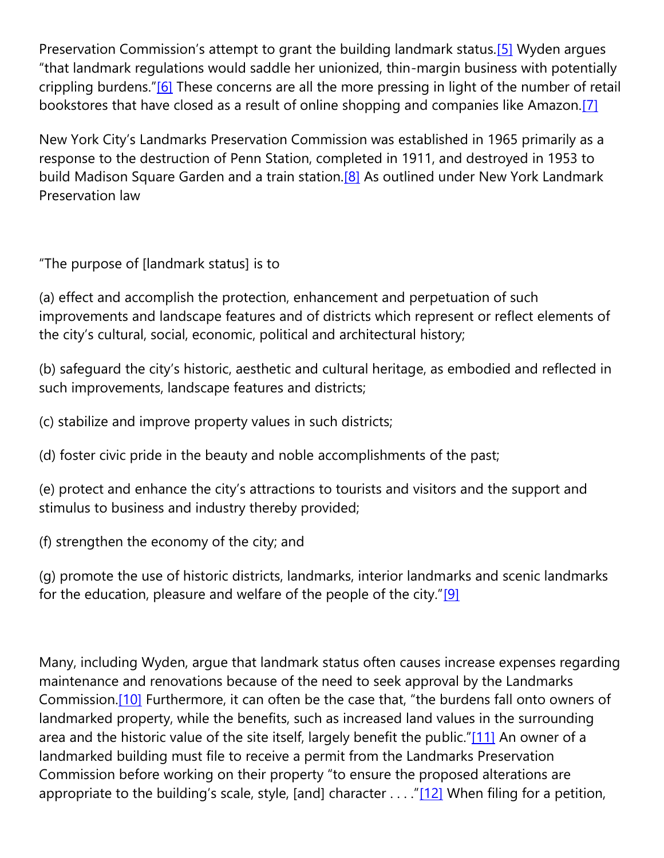Preservation Commission's attempt to grant the building landmark status.<sup>[\[5\]](https://cardozoaelj.com/2019/02/14/landmark-not-landmark-strands-battle-landmarking-building/#_ftn5)</sup> Wyden argues "that landmark regulations would saddle her unionized, thin-margin business with potentially crippling burdens."<sup>[\[6\]](https://cardozoaelj.com/2019/02/14/landmark-not-landmark-strands-battle-landmarking-building/#_ftn6)</sup> These concerns are all the more pressing in light of the number of retail bookstores that have closed as a result of online shopping and companies like Amazon[.\[7\]](https://cardozoaelj.com/2019/02/14/landmark-not-landmark-strands-battle-landmarking-building/#_ftn7)

New York City's Landmarks Preservation Commission was established in 1965 primarily as a response to the destruction of Penn Station, completed in 1911, and destroyed in 1953 to build Madison Square Garden and a train station.<sup>[8]</sup> As outlined under New York Landmark Preservation law

"The purpose of [landmark status] is to

(a) effect and accomplish the protection, enhancement and perpetuation of such improvements and landscape features and of districts which represent or reflect elements of the city's cultural, social, economic, political and architectural history;

(b) safeguard the city's historic, aesthetic and cultural heritage, as embodied and reflected in such improvements, landscape features and districts;

(c) stabilize and improve property values in such districts;

(d) foster civic pride in the beauty and noble accomplishments of the past;

(e) protect and enhance the city's attractions to tourists and visitors and the support and stimulus to business and industry thereby provided;

(f) strengthen the economy of the city; and

(g) promote the use of historic districts, landmarks, interior landmarks and scenic landmarks for the education, pleasure and welfare of the people of the city." $[9]$ 

Many, including Wyden, argue that landmark status often causes increase expenses regarding maintenance and renovations because of the need to seek approval by the Landmarks Commission[.\[10\]](https://cardozoaelj.com/2019/02/14/landmark-not-landmark-strands-battle-landmarking-building/#_ftn10) Furthermore, it can often be the case that, "the burdens fall onto owners of landmarked property, while the benefits, such as increased land values in the surrounding area and the historic value of the site itself, largely benefit the public."[\[11\]](https://cardozoaelj.com/2019/02/14/landmark-not-landmark-strands-battle-landmarking-building/#_ftn11) An owner of a landmarked building must file to receive a permit from the Landmarks Preservation Commission before working on their property "to ensure the proposed alterations are appropriate to the building's scale, style, [and] character . . . . "[\[12\]](https://cardozoaelj.com/2019/02/14/landmark-not-landmark-strands-battle-landmarking-building/#_ftn12) When filing for a petition,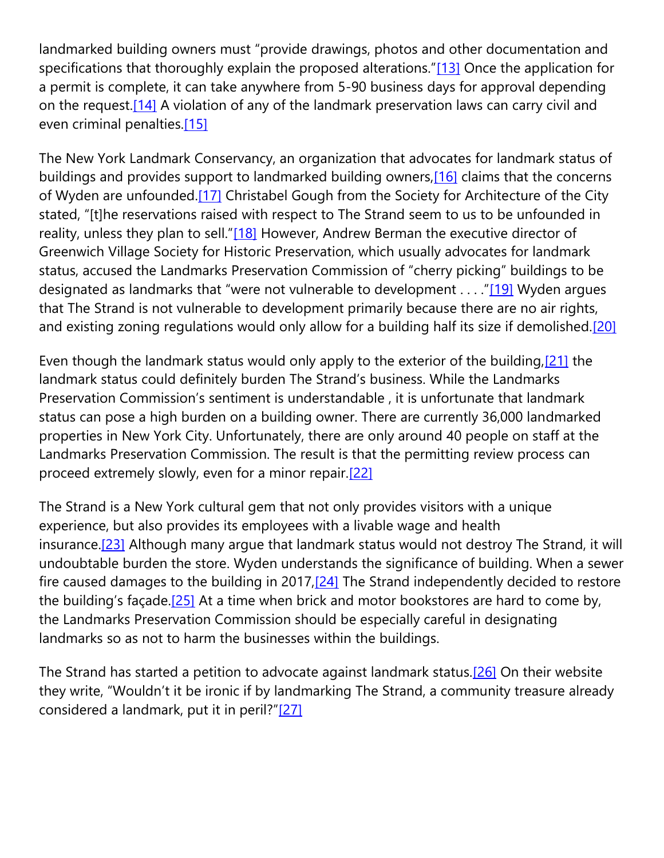landmarked building owners must "provide drawings, photos and other documentation and specifications that thoroughly explain the proposed alterations."[\[13\]](https://cardozoaelj.com/2019/02/14/landmark-not-landmark-strands-battle-landmarking-building/#_ftn13) Once the application for a permit is complete, it can take anywhere from 5-90 business days for approval depending on the request[.\[14\]](https://cardozoaelj.com/2019/02/14/landmark-not-landmark-strands-battle-landmarking-building/#_ftn14) A violation of any of the landmark preservation laws can carry civil and even criminal penalties[.\[15\]](https://cardozoaelj.com/2019/02/14/landmark-not-landmark-strands-battle-landmarking-building/#_ftn15)

The New York Landmark Conservancy, an organization that advocates for landmark status of buildings and provides support to landmarked building owners, [16] claims that the concerns of Wyden are unfounded.<sup>[17]</sup> Christabel Gough from the Society for Architecture of the City stated, "[t]he reservations raised with respect to The Strand seem to us to be unfounded in reality, unless they plan to sell."[\[18\]](https://cardozoaelj.com/2019/02/14/landmark-not-landmark-strands-battle-landmarking-building/#_ftn18) However, Andrew Berman the executive director of Greenwich Village Society for Historic Preservation, which usually advocates for landmark status, accused the Landmarks Preservation Commission of "cherry picking" buildings to be designated as landmarks that "were not vulnerable to development  $\dots$  "[\[19\]](https://cardozoaelj.com/2019/02/14/landmark-not-landmark-strands-battle-landmarking-building/#_ftn19) Wyden argues that The Strand is not vulnerable to development primarily because there are no air rights, and existing zoning regulations would only allow for a building half its size if demolished.<sup>[20]</sup>

Even though the landmark status would only apply to the exterior of the building, [21] the landmark status could definitely burden The Strand's business. While the Landmarks Preservation Commission's sentiment is understandable , it is unfortunate that landmark status can pose a high burden on a building owner. There are currently 36,000 landmarked properties in New York City. Unfortunately, there are only around 40 people on staff at the Landmarks Preservation Commission. The result is that the permitting review process can proceed extremely slowly, even for a minor repair[.\[22\]](https://cardozoaelj.com/2019/02/14/landmark-not-landmark-strands-battle-landmarking-building/#_ftn22)

The Strand is a New York cultural gem that not only provides visitors with a unique experience, but also provides its employees with a livable wage and health insurance[.\[23\]](https://cardozoaelj.com/2019/02/14/landmark-not-landmark-strands-battle-landmarking-building/#_ftn23) Although many argue that landmark status would not destroy The Strand, it will undoubtable burden the store. Wyden understands the significance of building. When a sewer fire caused damages to the building in 2017, $[24]$  The Strand independently decided to restore the building's façade.<sup>[\[25\]](https://cardozoaelj.com/2019/02/14/landmark-not-landmark-strands-battle-landmarking-building/#_ftn25)</sup> At a time when brick and motor bookstores are hard to come by, the Landmarks Preservation Commission should be especially careful in designating landmarks so as not to harm the businesses within the buildings.

The Strand has started a petition to advocate against landmark status.<sup>[26]</sup> On their website they write, "Wouldn't it be ironic if by landmarking The Strand, a community treasure already considered a landmark, put it in peril?"[\[27\]](https://cardozoaelj.com/2019/02/14/landmark-not-landmark-strands-battle-landmarking-building/#_ftn27)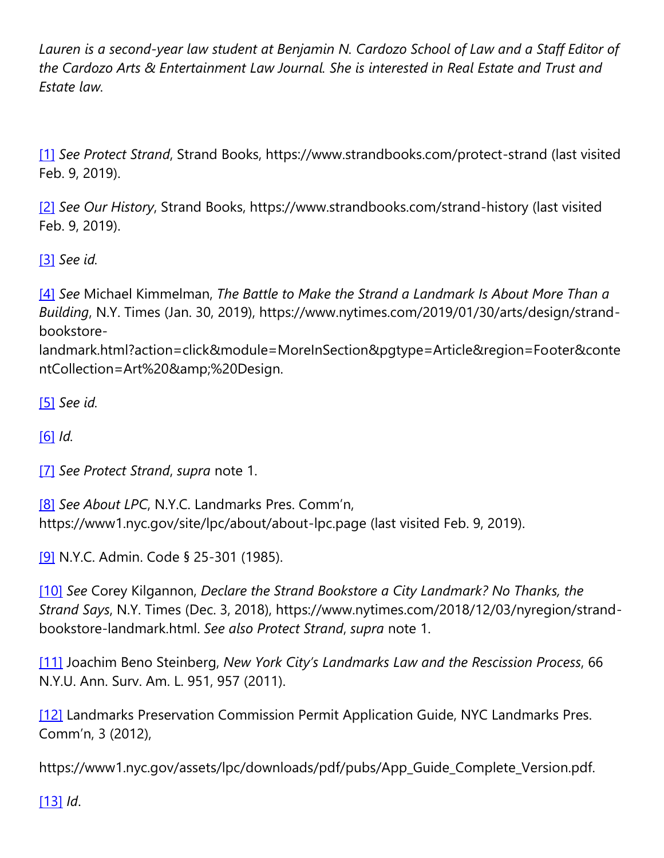*Lauren is a second-year law student at Benjamin N. Cardozo School of Law and a Staff Editor of the Cardozo Arts & Entertainment Law Journal. She is interested in Real Estate and Trust and Estate law.*

[\[1\]](https://cardozoaelj.com/2019/02/14/landmark-not-landmark-strands-battle-landmarking-building/#_ftnref1) *See Protect Strand*, Strand Books, https://www.strandbooks.com/protect-strand (last visited Feb. 9, 2019).

[\[2\]](https://cardozoaelj.com/2019/02/14/landmark-not-landmark-strands-battle-landmarking-building/#_ftnref2) *See Our History*, Strand Books, https://www.strandbooks.com/strand-history (last visited Feb. 9, 2019).

[\[3\]](https://cardozoaelj.com/2019/02/14/landmark-not-landmark-strands-battle-landmarking-building/#_ftnref3) *See id.*

[\[4\]](https://cardozoaelj.com/2019/02/14/landmark-not-landmark-strands-battle-landmarking-building/#_ftnref4) *See* Michael Kimmelman, *The Battle to Make the Strand a Landmark Is About More Than a Building*, N.Y. Times (Jan. 30, 2019), https://www.nytimes.com/2019/01/30/arts/design/strandbookstore-

landmark.html?action=click&module=MoreInSection&pgtype=Article&region=Footer&conte ntCollection=Art%20&%20Design.

[\[5\]](https://cardozoaelj.com/2019/02/14/landmark-not-landmark-strands-battle-landmarking-building/#_ftnref5) *See id.*

[\[6\]](https://cardozoaelj.com/2019/02/14/landmark-not-landmark-strands-battle-landmarking-building/#_ftnref6) *Id.*

[\[7\]](https://cardozoaelj.com/2019/02/14/landmark-not-landmark-strands-battle-landmarking-building/#_ftnref7) *See Protect Strand*, *supra* note 1.

[\[8\]](https://cardozoaelj.com/2019/02/14/landmark-not-landmark-strands-battle-landmarking-building/#_ftnref8) *See About LPC*, N.Y.C. Landmarks Pres. Comm'n, https://www1.nyc.gov/site/lpc/about/about-lpc.page (last visited Feb. 9, 2019).

[\[9\]](https://cardozoaelj.com/2019/02/14/landmark-not-landmark-strands-battle-landmarking-building/#_ftnref9) N.Y.C. Admin. Code § 25-301 (1985).

[\[10\]](https://cardozoaelj.com/2019/02/14/landmark-not-landmark-strands-battle-landmarking-building/#_ftnref10) *See* Corey Kilgannon, *Declare the Strand Bookstore a City Landmark? No Thanks, the Strand Says*, N.Y. Times (Dec. 3, 2018), https://www.nytimes.com/2018/12/03/nyregion/strandbookstore-landmark.html. *See also Protect Strand*, *supra* note 1.

[\[11\]](https://cardozoaelj.com/2019/02/14/landmark-not-landmark-strands-battle-landmarking-building/#_ftnref11) Joachim Beno Steinberg, *New York City's Landmarks Law and the Rescission Process*, 66 N.Y.U. Ann. Surv. Am. L. 951, 957 (2011).

[\[12\]](https://cardozoaelj.com/2019/02/14/landmark-not-landmark-strands-battle-landmarking-building/#_ftnref12) Landmarks Preservation Commission Permit Application Guide, NYC Landmarks Pres. Comm'n, 3 (2012),

https://www1.nyc.gov/assets/lpc/downloads/pdf/pubs/App\_Guide\_Complete\_Version.pdf.

[\[13\]](https://cardozoaelj.com/2019/02/14/landmark-not-landmark-strands-battle-landmarking-building/#_ftnref13) *Id*.